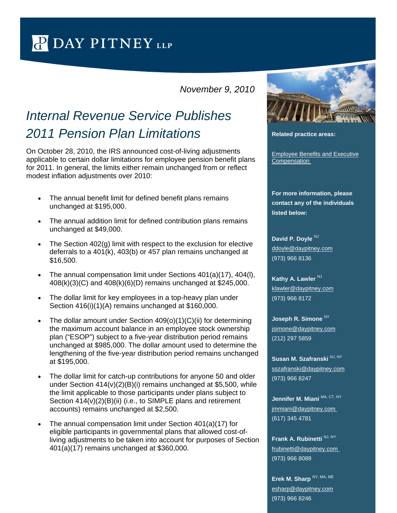$\sim$  [/](http://www.daypitney.com/)  $\sim$  /  $\sim$  /  $\sim$  /  $\sim$  /  $\sim$  /  $\sim$  /  $\sim$  /  $\sim$  /  $\sim$  /  $\sim$  /  $\sim$ 

*November 9, 2010*

## *Internal Revenue Service Publishes*  2011 Pension Plan *Limitations* **Related practice areas:**

On October 28, 2010, the IRS announced cost-of-living adjustments applicable to certain dollar limitations for employee pension benefit plans for 2011. In general, the limits either remain unchanged from or reflect modest inflation adjustments over 2010:

- The annual benefit limit for defined benefit plans remains unchanged at \$195,000.
- The annual addition limit for defined contribution plans remains unchanged at \$49,000.
- The Section 402(g) limit with respect to the exclusion for elective deferrals to a 401(k), 403(b) or 457 plan remains unchanged at \$16,500.
- The annual compensation limit under Sections 401(a)(17), 404(l), 408(k)(3)(C) and 408(k)(6)(D) remains unchanged at \$245,000.
- The dollar limit for key employees in a top-heavy plan under Section 416(i)(1)(A) remains unchanged at \$160,000.
- The dollar amount under Section 409(o)(1)(C)(ii) for determining the maximum account balance in an employee stock ownership plan ("ESOP") subject to a five-year distribution period remains unchanged at \$985,000. The dollar amount used to determine the lengthening of the five-year distribution period remains unchanged at \$195,000.
- The dollar limit for catch-up contributions for anyone 50 and older under Section 414(v)(2)(B)(i) remains unchanged at \$5,500, while the limit applicable to those participants under plans subject to Section 414(v)(2)(B)(ii) (i.e., to SIMPLE plans and retirement accounts) remains unchanged at \$2,500.
- The annual compensation limit under Section 401(a)(17) for eligible participants in governmental plans that allowed cost-ofliving adjustments to be taken into account for purposes of Section 401(a)(17) remains unchanged at \$360,000.



[Employee Benefits and Executive](http://www.daypitney.com/practices/Employee-Benefits-and-Executive-Compensation/)  **Compensation** 

**For more information, please contact any of the individuals listed below:**

**David P. Doyle** NJ [ddoyle@daypitney.com](mailto:ddoyle@daypitney.com) (973) 966 8136

**Kathy A. Lawler NJ** [klawler@daypitney.com](mailto:klawler@daypitney.com) (973) 966 8172

Joseph R. Simone<sup>NY</sup> [jsimone@daypitney.com](mailto:jsimone@daypitney.com) (212) 297 5859

**Susan M. Szafranski NJ, NY** [sszafranski@daypitney.com](mailto:sszafranski@daypitney.com) (973) 966 8247

**Jennifer M. Miani** MA, CT, NY [jmmiani@daypitney.com](mailto:jmmiani@daypitney.com)  (617) 345 4781

**Frank A. Rubinetti** NJ, NY [frubinetti@daypitney.com](mailto:frubinetti@daypitney.com)  (973) 966 8089

**Erek M. Sharp** NY, MA, ME [esharp@daypitney.com](mailto:esharp@daypitney.com) (973) 966 8246